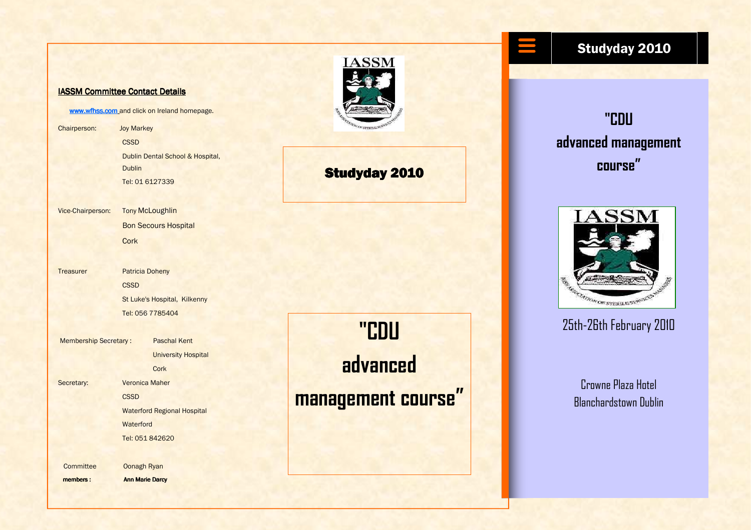#### IASSM Committee Contact Details

www.wfhss.com and click on Ireland homepage.

Chairperson: Joy Markey **CSSD**  Dublin Dental School & Hospital, **Dublin** Tel: 01 6127339

Vice-Chairperson: **Tony McLoughlin** Bon Secours Hospital **Cork** 

Treasurer Patricia Doheny **CSSD** St Luke's Hospital, Kilkenny

 Tel: 056 7785404 Membership Secretary : Paschal Kent University Hospital

**Cork** 

Secretary: **Veronica Maher CSSD**  Waterford Regional Hospital **Waterford** 

Tel: 051 842620

Committee Oonagh Ryan

members : Ann Marie Darcy



### **Studyday 2010**

"CDU advanced management course"

# Studyday 2010

"CDU advanced management course"



## 25th-26th February 2010

Crowne Plaza Hotel Blanchardstown Dublin